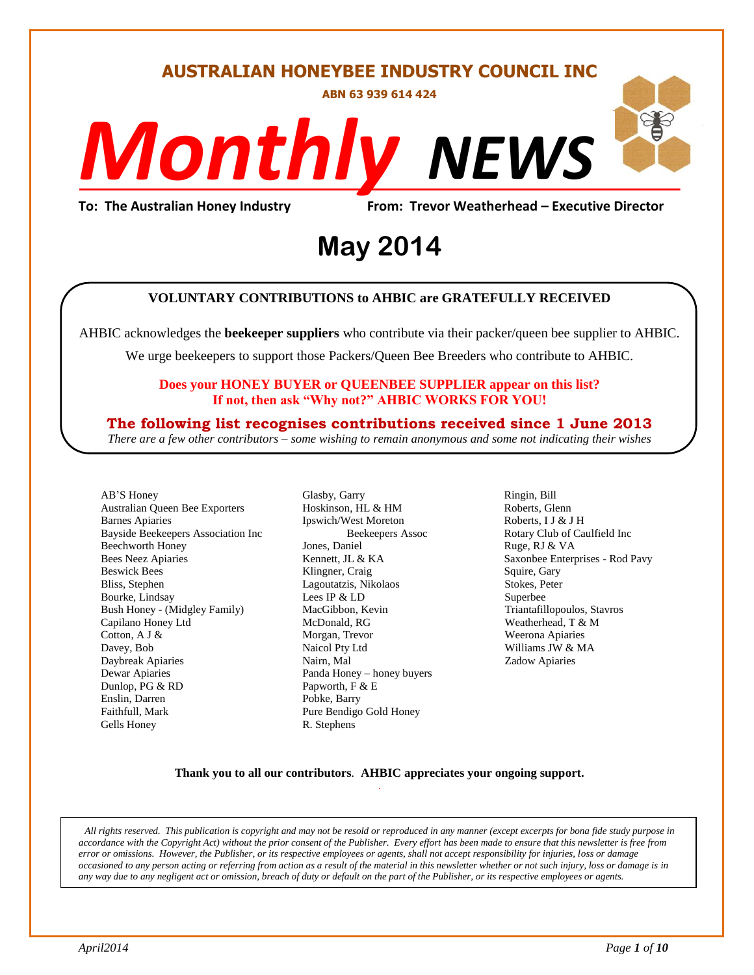#### **AUSTRALIAN HONEYBEE INDUSTRY COUNCIL INC**

**ABN 63 939 614 424**

# *NEWS Monthly*

evor weathern<br>4 **To: The Australian Honey Industry From: Trevor Weatherhead – Executive Director**

## **May 2014**

#### **VOLUNTARY CONTRIBUTIONS to AHBIC are GRATEFULLY RECEIVED**

AHBIC acknowledges the **beekeeper suppliers** who contribute via their packer/queen bee supplier to AHBIC.

We urge beekeepers to support those Packers/Queen Bee Breeders who contribute to AHBIC.

#### **Does your HONEY BUYER or QUEENBEE SUPPLIER appear on this list? If not, then ask "Why not?" AHBIC WORKS FOR YOU!**

#### **The following list recognises contributions received since 1 June 2013**

*There are a few other contributors – some wishing to remain anonymous and some not indicating their wishes*

AB'S Honey Australian Queen Bee Exporters Barnes Apiaries Bayside Beekeepers Association Inc Beechworth Honey Bees Neez Apiaries Beswick Bees Bliss, Stephen Bourke, Lindsay Bush Honey - (Midgley Family) Capilano Honey Ltd Cotton, A J & Davey, Bob Daybreak Apiaries Dewar Apiaries Dunlop, PG & RD Enslin, Darren Faithfull, Mark Gells Honey

Glasby, Garry Hoskinson, HL & HM Ipswich/West Moreton Beekeepers Assoc Jones, Daniel Kennett, JL & KA Klingner, Craig Lagoutatzis, Nikolaos Lees IP & LD MacGibbon, Kevin McDonald, RG Morgan, Trevor Naicol Pty Ltd Nairn, Mal Panda Honey – honey buyers Papworth, F & E Pobke, Barry Pure Bendigo Gold Honey R. Stephens

Ringin, Bill Roberts, Glenn Roberts, I J & J H Rotary Club of Caulfield Inc Ruge, RJ & VA Saxonbee Enterprises - Rod Pavy Squire, Gary Stokes, Peter Superbee Triantafillopoulos, Stavros Weatherhead, T & M Weerona Apiaries Williams JW & MA Zadow Apiaries

#### **Thank you to all our contributors***.* **AHBIC appreciates your ongoing support.** .

*All rights reserved. This publication is copyright and may not be resold or reproduced in any manner (except excerpts for bona fide study purpose in accordance with the Copyright Act) without the prior consent of the Publisher. Every effort has been made to ensure that this newsletter is free from error or omissions. However, the Publisher, or its respective employees or agents, shall not accept responsibility for injuries, loss or damage occasioned to any person acting or referring from action as a result of the material in this newsletter whether or not such injury, loss or damage is in any way due to any negligent act or omission, breach of duty or default on the part of the Publisher, or its respective employees or agents.*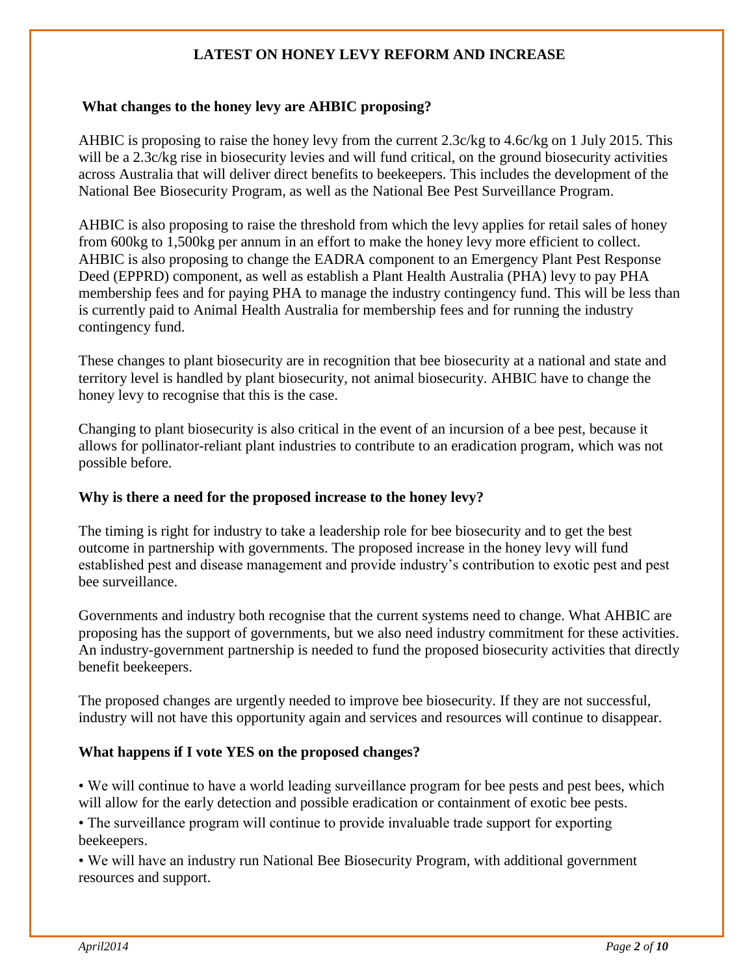#### **LATEST ON HONEY LEVY REFORM AND INCREASE**

#### **What changes to the honey levy are AHBIC proposing?**

AHBIC is proposing to raise the honey levy from the current 2.3c/kg to 4.6c/kg on 1 July 2015. This will be a 2.3c/kg rise in biosecurity levies and will fund critical, on the ground biosecurity activities across Australia that will deliver direct benefits to beekeepers. This includes the development of the National Bee Biosecurity Program, as well as the National Bee Pest Surveillance Program.

AHBIC is also proposing to raise the threshold from which the levy applies for retail sales of honey from 600kg to 1,500kg per annum in an effort to make the honey levy more efficient to collect. AHBIC is also proposing to change the EADRA component to an Emergency Plant Pest Response Deed (EPPRD) component, as well as establish a Plant Health Australia (PHA) levy to pay PHA membership fees and for paying PHA to manage the industry contingency fund. This will be less than is currently paid to Animal Health Australia for membership fees and for running the industry contingency fund.

These changes to plant biosecurity are in recognition that bee biosecurity at a national and state and territory level is handled by plant biosecurity, not animal biosecurity. AHBIC have to change the honey levy to recognise that this is the case.

Changing to plant biosecurity is also critical in the event of an incursion of a bee pest, because it allows for pollinator-reliant plant industries to contribute to an eradication program, which was not possible before.

#### **Why is there a need for the proposed increase to the honey levy?**

The timing is right for industry to take a leadership role for bee biosecurity and to get the best outcome in partnership with governments. The proposed increase in the honey levy will fund established pest and disease management and provide industry's contribution to exotic pest and pest bee surveillance.

Governments and industry both recognise that the current systems need to change. What AHBIC are proposing has the support of governments, but we also need industry commitment for these activities. An industry-government partnership is needed to fund the proposed biosecurity activities that directly benefit beekeepers.

The proposed changes are urgently needed to improve bee biosecurity. If they are not successful, industry will not have this opportunity again and services and resources will continue to disappear.

#### **What happens if I vote YES on the proposed changes?**

• We will continue to have a world leading surveillance program for bee pests and pest bees, which will allow for the early detection and possible eradication or containment of exotic bee pests.

• The surveillance program will continue to provide invaluable trade support for exporting beekeepers.

• We will have an industry run National Bee Biosecurity Program, with additional government resources and support.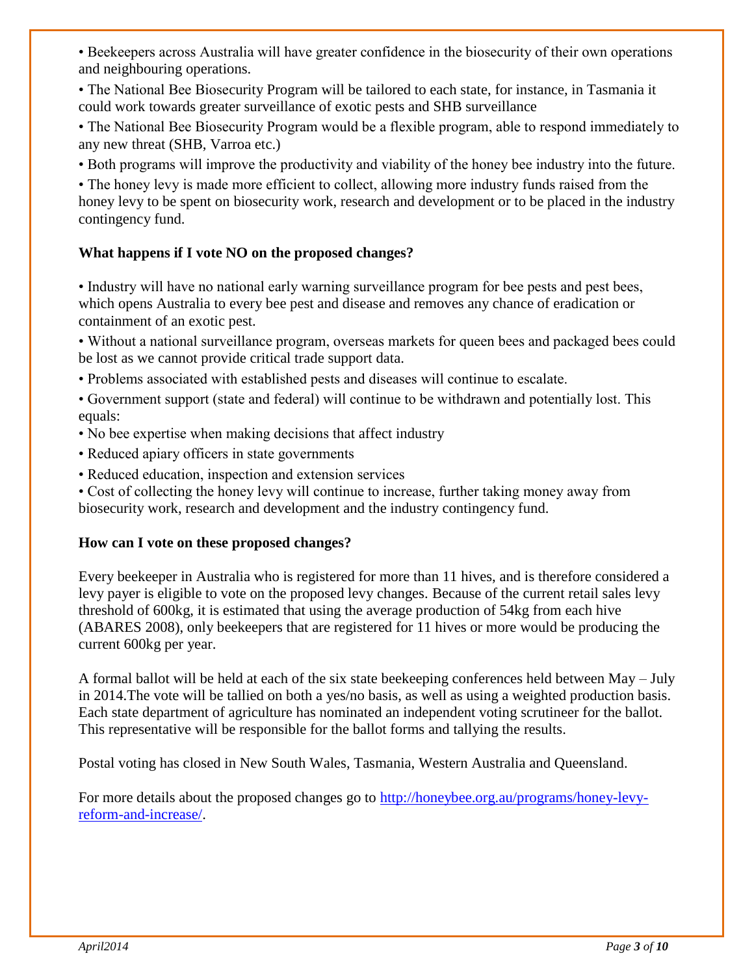• Beekeepers across Australia will have greater confidence in the biosecurity of their own operations and neighbouring operations.

• The National Bee Biosecurity Program will be tailored to each state, for instance, in Tasmania it could work towards greater surveillance of exotic pests and SHB surveillance

• The National Bee Biosecurity Program would be a flexible program, able to respond immediately to any new threat (SHB, Varroa etc.)

• Both programs will improve the productivity and viability of the honey bee industry into the future.

• The honey levy is made more efficient to collect, allowing more industry funds raised from the honey levy to be spent on biosecurity work, research and development or to be placed in the industry contingency fund.

#### **What happens if I vote NO on the proposed changes?**

• Industry will have no national early warning surveillance program for bee pests and pest bees, which opens Australia to every bee pest and disease and removes any chance of eradication or containment of an exotic pest.

• Without a national surveillance program, overseas markets for queen bees and packaged bees could be lost as we cannot provide critical trade support data.

• Problems associated with established pests and diseases will continue to escalate.

• Government support (state and federal) will continue to be withdrawn and potentially lost. This equals:

- No bee expertise when making decisions that affect industry
- Reduced apiary officers in state governments
- Reduced education, inspection and extension services

• Cost of collecting the honey levy will continue to increase, further taking money away from biosecurity work, research and development and the industry contingency fund.

#### **How can I vote on these proposed changes?**

Every beekeeper in Australia who is registered for more than 11 hives, and is therefore considered a levy payer is eligible to vote on the proposed levy changes. Because of the current retail sales levy threshold of 600kg, it is estimated that using the average production of 54kg from each hive (ABARES 2008), only beekeepers that are registered for 11 hives or more would be producing the current 600kg per year.

A formal ballot will be held at each of the six state beekeeping conferences held between May – July in 2014.The vote will be tallied on both a yes/no basis, as well as using a weighted production basis. Each state department of agriculture has nominated an independent voting scrutineer for the ballot. This representative will be responsible for the ballot forms and tallying the results.

Postal voting has closed in New South Wales, Tasmania, Western Australia and Queensland.

For more details about the proposed changes go to [http://honeybee.org.au/programs/honey-levy](http://honeybee.org.au/programs/honey-levy-reform-and-increase/)[reform-and-increase/.](http://honeybee.org.au/programs/honey-levy-reform-and-increase/)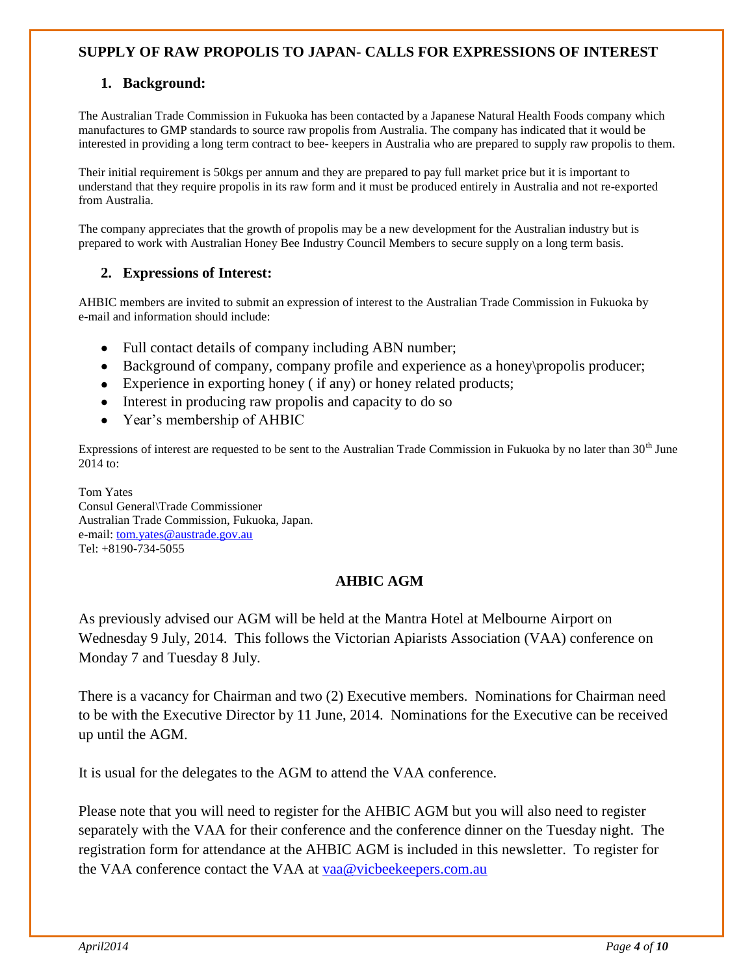#### **SUPPLY OF RAW PROPOLIS TO JAPAN- CALLS FOR EXPRESSIONS OF INTEREST**

#### **1. Background:**

The Australian Trade Commission in Fukuoka has been contacted by a Japanese Natural Health Foods company which manufactures to GMP standards to source raw propolis from Australia. The company has indicated that it would be interested in providing a long term contract to bee- keepers in Australia who are prepared to supply raw propolis to them.

Their initial requirement is 50kgs per annum and they are prepared to pay full market price but it is important to understand that they require propolis in its raw form and it must be produced entirely in Australia and not re-exported from Australia.

The company appreciates that the growth of propolis may be a new development for the Australian industry but is prepared to work with Australian Honey Bee Industry Council Members to secure supply on a long term basis.

#### **2. Expressions of Interest:**

AHBIC members are invited to submit an expression of interest to the Australian Trade Commission in Fukuoka by e-mail and information should include:

- Full contact details of company including ABN number;  $\bullet$
- Background of company, company profile and experience as a honey\propolis producer;
- Experience in exporting honey ( if any) or honey related products;
- Interest in producing raw propolis and capacity to do so
- Year's membership of AHBIC

Expressions of interest are requested to be sent to the Australian Trade Commission in Fukuoka by no later than  $30<sup>th</sup>$  June 2014 to:

Tom Yates Consul General\Trade Commissioner Australian Trade Commission, Fukuoka, Japan. e-mail[: tom.yates@austrade.gov.au](mailto:tom.yates@austrade.gov.au) Tel: +8190-734-5055

#### **AHBIC AGM**

As previously advised our AGM will be held at the Mantra Hotel at Melbourne Airport on Wednesday 9 July, 2014. This follows the Victorian Apiarists Association (VAA) conference on Monday 7 and Tuesday 8 July.

There is a vacancy for Chairman and two (2) Executive members. Nominations for Chairman need to be with the Executive Director by 11 June, 2014. Nominations for the Executive can be received up until the AGM.

It is usual for the delegates to the AGM to attend the VAA conference.

Please note that you will need to register for the AHBIC AGM but you will also need to register separately with the VAA for their conference and the conference dinner on the Tuesday night. The registration form for attendance at the AHBIC AGM is included in this newsletter. To register for the VAA conference contact the VAA at [vaa@vicbeekeepers.com.au](mailto:vaa@vicbeekeepers.com.au)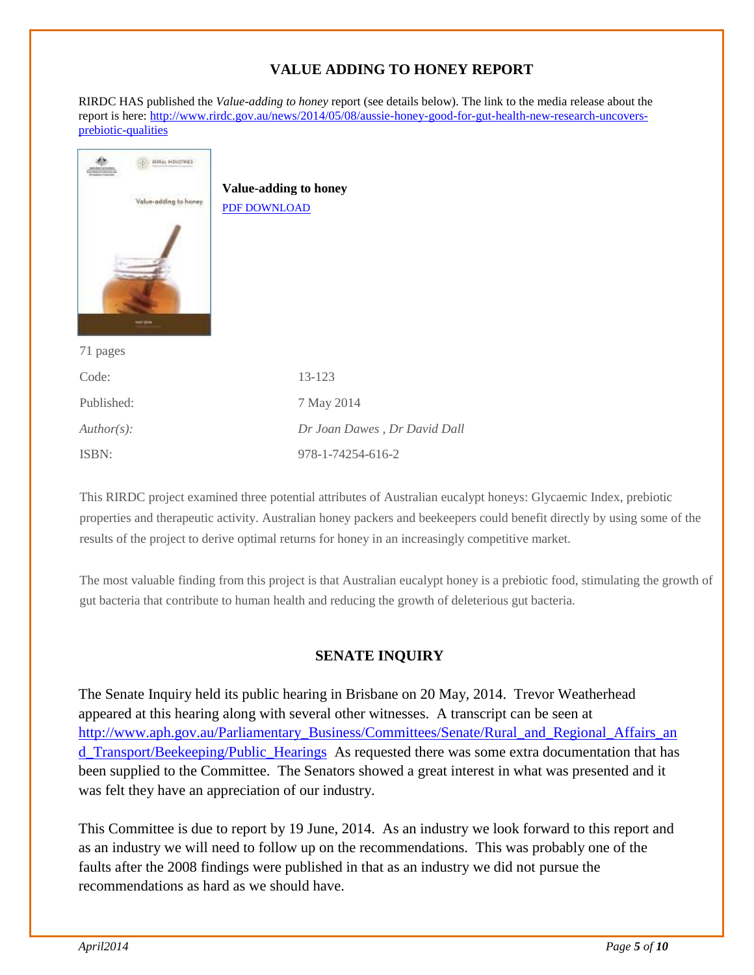#### **VALUE ADDING TO HONEY REPORT**

RIRDC HAS published the *Value-adding to honey* report (see details below). The link to the media release about the report is here: [http://www.rirdc.gov.au/news/2014/05/08/aussie-honey-good-for-gut-health-new-research-uncovers](http://www.rirdc.gov.au/news/2014/05/08/aussie-honey-good-for-gut-health-new-research-uncovers-prebiotic-qualities)[prebiotic-qualities](http://www.rirdc.gov.au/news/2014/05/08/aussie-honey-good-for-gut-health-new-research-uncovers-prebiotic-qualities)

| <b>PURIL HOUSTINGS</b><br><b>Value-adding to honey</b><br>Value-adding to honey.<br>PDF DOWNLOAD<br><b>MAY 2214</b> |                              |
|---------------------------------------------------------------------------------------------------------------------|------------------------------|
| 71 pages                                                                                                            |                              |
| Code:                                                                                                               | 13-123                       |
| Published:                                                                                                          | 7 May 2014                   |
| $Author(s)$ :                                                                                                       | Dr Joan Dawes, Dr David Dall |
| ISBN:                                                                                                               | 978-1-74254-616-2            |

This RIRDC project examined three potential attributes of Australian eucalypt honeys: Glycaemic Index, prebiotic properties and therapeutic activity. Australian honey packers and beekeepers could benefit directly by using some of the results of the project to derive optimal returns for honey in an increasingly competitive market.

The most valuable finding from this project is that Australian eucalypt honey is a prebiotic food, stimulating the growth of gut bacteria that contribute to human health and reducing the growth of deleterious gut bacteria.

#### **SENATE INQUIRY**

The Senate Inquiry held its public hearing in Brisbane on 20 May, 2014. Trevor Weatherhead appeared at this hearing along with several other witnesses. A transcript can be seen at [http://www.aph.gov.au/Parliamentary\\_Business/Committees/Senate/Rural\\_and\\_Regional\\_Affairs\\_an](http://www.aph.gov.au/Parliamentary_Business/Committees/Senate/Rural_and_Regional_Affairs_and_Transport/Beekeeping/Public_Hearings) [d\\_Transport/Beekeeping/Public\\_Hearings](http://www.aph.gov.au/Parliamentary_Business/Committees/Senate/Rural_and_Regional_Affairs_and_Transport/Beekeeping/Public_Hearings) As requested there was some extra documentation that has been supplied to the Committee. The Senators showed a great interest in what was presented and it was felt they have an appreciation of our industry.

This Committee is due to report by 19 June, 2014. As an industry we look forward to this report and as an industry we will need to follow up on the recommendations. This was probably one of the faults after the 2008 findings were published in that as an industry we did not pursue the recommendations as hard as we should have.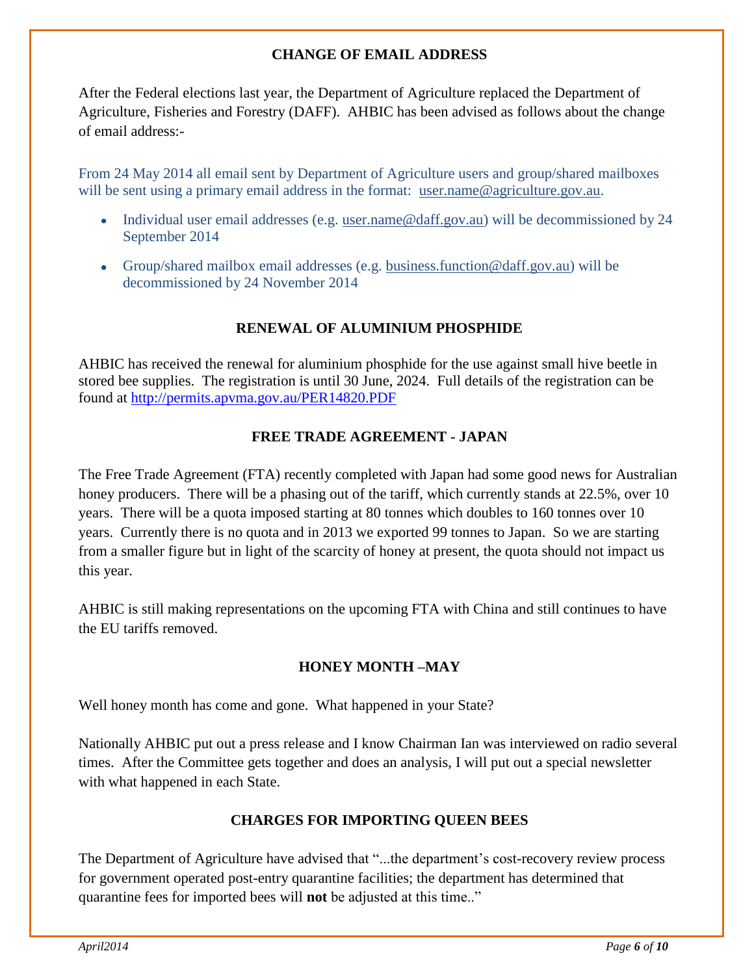#### **CHANGE OF EMAIL ADDRESS**

After the Federal elections last year, the Department of Agriculture replaced the Department of Agriculture, Fisheries and Forestry (DAFF). AHBIC has been advised as follows about the change of email address:-

From 24 May 2014 all email sent by Department of Agriculture users and group/shared mailboxes will be sent using a primary email address in the format: [user.name@agriculture.gov.au.](mailto:user.name@agriculture.gov.au)

- Individual user email addresses (e.g. [user.name@daff.gov.au\)](mailto:user.name@daff.gov.au) will be decommissioned by 24 September 2014
- Group/shared mailbox email addresses (e.g. [business.function@daff.gov.au\)](mailto:business.function@daff.gov.au) will be decommissioned by 24 November 2014

#### **RENEWAL OF ALUMINIUM PHOSPHIDE**

AHBIC has received the renewal for aluminium phosphide for the use against small hive beetle in stored bee supplies. The registration is until 30 June, 2024. Full details of the registration can be found at<http://permits.apvma.gov.au/PER14820.PDF>

#### **FREE TRADE AGREEMENT - JAPAN**

The Free Trade Agreement (FTA) recently completed with Japan had some good news for Australian honey producers. There will be a phasing out of the tariff, which currently stands at 22.5%, over 10 years. There will be a quota imposed starting at 80 tonnes which doubles to 160 tonnes over 10 years. Currently there is no quota and in 2013 we exported 99 tonnes to Japan. So we are starting from a smaller figure but in light of the scarcity of honey at present, the quota should not impact us this year.

AHBIC is still making representations on the upcoming FTA with China and still continues to have the EU tariffs removed.

#### **HONEY MONTH –MAY**

Well honey month has come and gone. What happened in your State?

Nationally AHBIC put out a press release and I know Chairman Ian was interviewed on radio several times. After the Committee gets together and does an analysis, I will put out a special newsletter with what happened in each State.

#### **CHARGES FOR IMPORTING QUEEN BEES**

The Department of Agriculture have advised that "...the department's cost-recovery review process for government operated post-entry quarantine facilities; the department has determined that quarantine fees for imported bees will **not** be adjusted at this time.."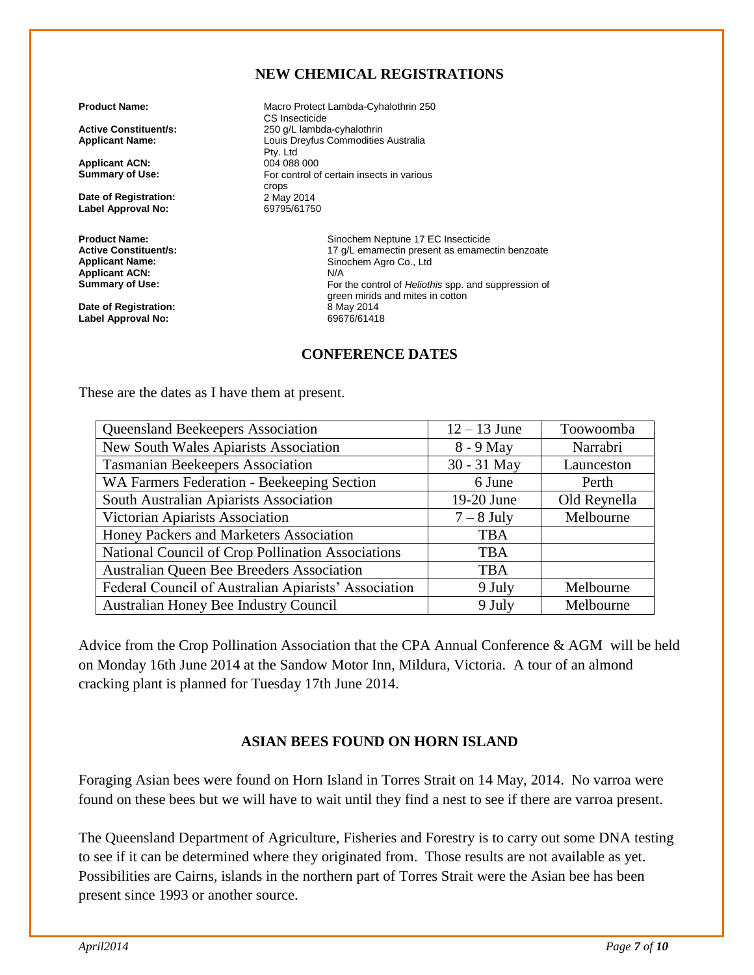#### **NEW CHEMICAL REGISTRATIONS**

**Applicant ACN:**<br>Summary of Use:

**Date of Registration:** 2 May 2014<br> **Label Approval No:** 69795/61750 **Label Approval No:** 

**Applicant ACN:**<br>Summary of Use:

**Date of Registration:** 8 May 2014 **Label Approval No:** 

**Product Name:** Macro Protect Lambda-Cyhalothrin 250 CS Insecticide **Active Constituent/s:** 250 g/L lambda-cyhalothrin<br> **Applicant Name:** 250 Louis Drevfus Commodities **Applicant Name:** Louis Dreyfus Commodities Australia Pty. Ltd<br>004 088 000 For control of certain insects in various crops<br>2 May 2014

**Product Name: Product Name: Sinochem Neptune 17 EC Insecticide**<br>**Active Constituent/s: Sinochem 17 a/L emamectin present as emame Active Constituent/s:**  $\begin{array}{c} \n17 \text{ g/L} \text{ emanectin present as emanectin benzoate} \\
\text{Application Name:} \n\end{array}$ Sinochem Agro Co., Ltd<br>N/A For the control of *Heliothis* spp. and suppression of green mirids and mites in cotton<br>8 May 2014

#### **CONFERENCE DATES**

These are the dates as I have them at present.

| Queensland Beekeepers Association                    | $12 - 13$ June | Toowoomba    |
|------------------------------------------------------|----------------|--------------|
| New South Wales Apiarists Association                | 8 - 9 May      | Narrabri     |
| <b>Tasmanian Beekeepers Association</b>              | 30 - 31 May    | Launceston   |
| WA Farmers Federation - Beekeeping Section           | 6 June         | Perth        |
| South Australian Apiarists Association               | 19-20 June     | Old Reynella |
| Victorian Apiarists Association                      | $7 - 8$ July   | Melbourne    |
| Honey Packers and Marketers Association              | <b>TBA</b>     |              |
| National Council of Crop Pollination Associations    | <b>TBA</b>     |              |
| <b>Australian Queen Bee Breeders Association</b>     | <b>TBA</b>     |              |
| Federal Council of Australian Apiarists' Association | 9 July         | Melbourne    |
| Australian Honey Bee Industry Council                | 9 July         | Melbourne    |

Advice from the Crop Pollination Association that the CPA Annual Conference & AGM will be held on Monday 16th June 2014 at the Sandow Motor Inn, Mildura, Victoria. A tour of an almond cracking plant is planned for Tuesday 17th June 2014.

#### **ASIAN BEES FOUND ON HORN ISLAND**

Foraging Asian bees were found on Horn Island in Torres Strait on 14 May, 2014. No varroa were found on these bees but we will have to wait until they find a nest to see if there are varroa present.

The Queensland Department of Agriculture, Fisheries and Forestry is to carry out some DNA testing to see if it can be determined where they originated from. Those results are not available as yet. Possibilities are Cairns, islands in the northern part of Torres Strait were the Asian bee has been present since 1993 or another source.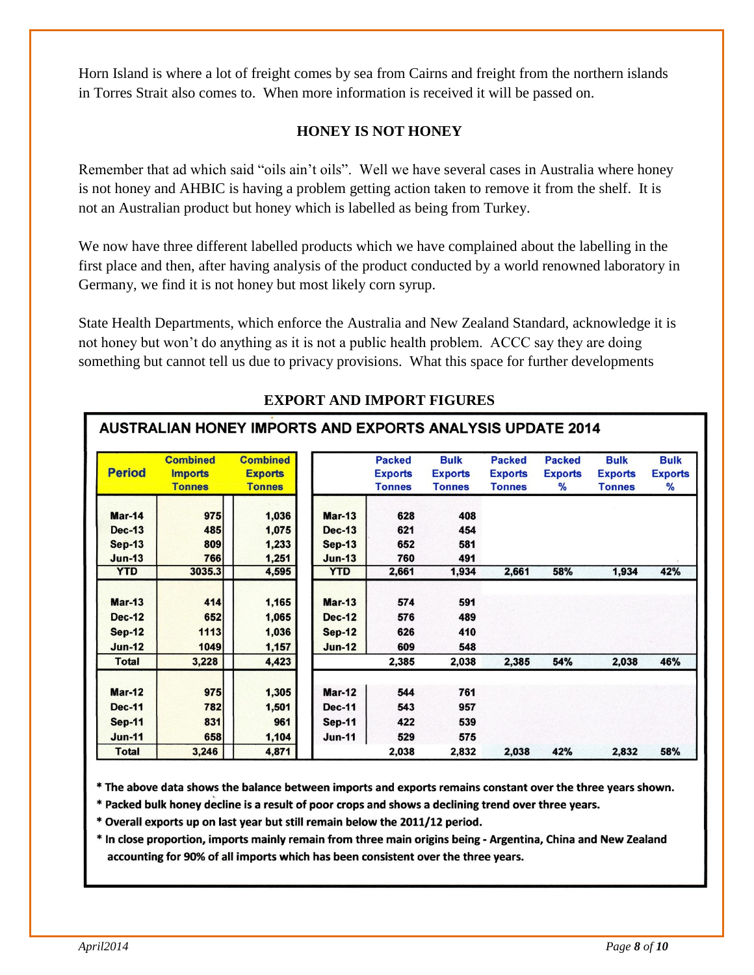Horn Island is where a lot of freight comes by sea from Cairns and freight from the northern islands in Torres Strait also comes to. When more information is received it will be passed on.

#### **HONEY IS NOT HONEY**

Remember that ad which said "oils ain't oils". Well we have several cases in Australia where honey is not honey and AHBIC is having a problem getting action taken to remove it from the shelf. It is not an Australian product but honey which is labelled as being from Turkey.

We now have three different labelled products which we have complained about the labelling in the first place and then, after having analysis of the product conducted by a world renowned laboratory in Germany, we find it is not honey but most likely corn syrup.

State Health Departments, which enforce the Australia and New Zealand Standard, acknowledge it is not honey but won't do anything as it is not a public health problem. ACCC say they are doing something but cannot tell us due to privacy provisions. What this space for further developments

| <b>Period</b> | <b>Combined</b><br><b>Imports</b><br><b>Tonnes</b> | <b>Combined</b><br><b>Exports</b><br><b>Tonnes</b> |               | <b>Packed</b><br><b>Exports</b><br><b>Tonnes</b> | <b>Bulk</b><br><b>Exports</b><br><b>Tonnes</b> | <b>Packed</b><br><b>Exports</b><br><b>Tonnes</b> | <b>Packed</b><br><b>Exports</b><br>℅ | <b>Bulk</b><br><b>Exports</b><br><b>Tonnes</b> | <b>Bulk</b><br><b>Exports</b><br>$\%$ |
|---------------|----------------------------------------------------|----------------------------------------------------|---------------|--------------------------------------------------|------------------------------------------------|--------------------------------------------------|--------------------------------------|------------------------------------------------|---------------------------------------|
| <b>Mar-14</b> | 975                                                | 1,036                                              | $Mar-13$      | 628                                              | 408                                            |                                                  |                                      |                                                |                                       |
| <b>Dec-13</b> | 485                                                | 1,075                                              | <b>Dec-13</b> | 621                                              | 454                                            |                                                  |                                      |                                                |                                       |
| <b>Sep-13</b> | 809                                                | 1,233                                              | <b>Sep-13</b> | 652                                              | 581                                            |                                                  |                                      |                                                |                                       |
| $Jun-13$      | 766                                                | 1,251                                              | $Jun-13$      | 760                                              | 491                                            |                                                  |                                      |                                                |                                       |
| <b>YTD</b>    | 3035.3                                             | 4,595                                              | <b>YTD</b>    | 2,661                                            | 1,934                                          | 2,661                                            | 58%                                  | 1,934                                          | 42%                                   |
| <b>Mar-13</b> | 414                                                | 1,165                                              | $Mar-13$      | 574                                              | 591                                            |                                                  |                                      |                                                |                                       |
| <b>Dec-12</b> | 652                                                | 1,065                                              | <b>Dec-12</b> | 576                                              | 489                                            |                                                  |                                      |                                                |                                       |
| <b>Sep-12</b> | 1113                                               | 1,036                                              | <b>Sep-12</b> | 626                                              | 410                                            |                                                  |                                      |                                                |                                       |
| <b>Jun-12</b> | 1049                                               | 1,157                                              | <b>Jun-12</b> | 609                                              | 548                                            |                                                  |                                      |                                                |                                       |
| <b>Total</b>  | 3,228                                              | 4,423                                              |               | 2,385                                            | 2,038                                          | 2,385                                            | 54%                                  | 2,038                                          | 46%                                   |
| <b>Mar-12</b> | 975                                                | 1,305                                              | <b>Mar-12</b> | 544                                              | 761                                            |                                                  |                                      |                                                |                                       |
| <b>Dec-11</b> | 782                                                | 1,501                                              | <b>Dec-11</b> | 543                                              | 957                                            |                                                  |                                      |                                                |                                       |
| <b>Sep-11</b> | 831                                                | 961                                                | <b>Sep-11</b> | 422                                              | 539                                            |                                                  |                                      |                                                |                                       |
| <b>Jun-11</b> | 658                                                | 1,104                                              | <b>Jun-11</b> | 529                                              | 575                                            |                                                  |                                      |                                                |                                       |
| <b>Total</b>  | 3,246                                              | 4,871                                              |               | 2,038                                            | 2,832                                          | 2,038                                            | 42%                                  | 2,832                                          | 58%                                   |

#### **EXPORT AND IMPORT FIGURES**

AUSTRALIAN HONEY IMPORTS AND EXPORTS ANALYSIS UPDATE 2014

\* The above data shows the balance between imports and exports remains constant over the three years shown.

\* Packed bulk honey decline is a result of poor crops and shows a declining trend over three years.

\* Overall exports up on last year but still remain below the 2011/12 period.

\* In close proportion, imports mainly remain from three main origins being - Argentina, China and New Zealand accounting for 90% of all imports which has been consistent over the three years.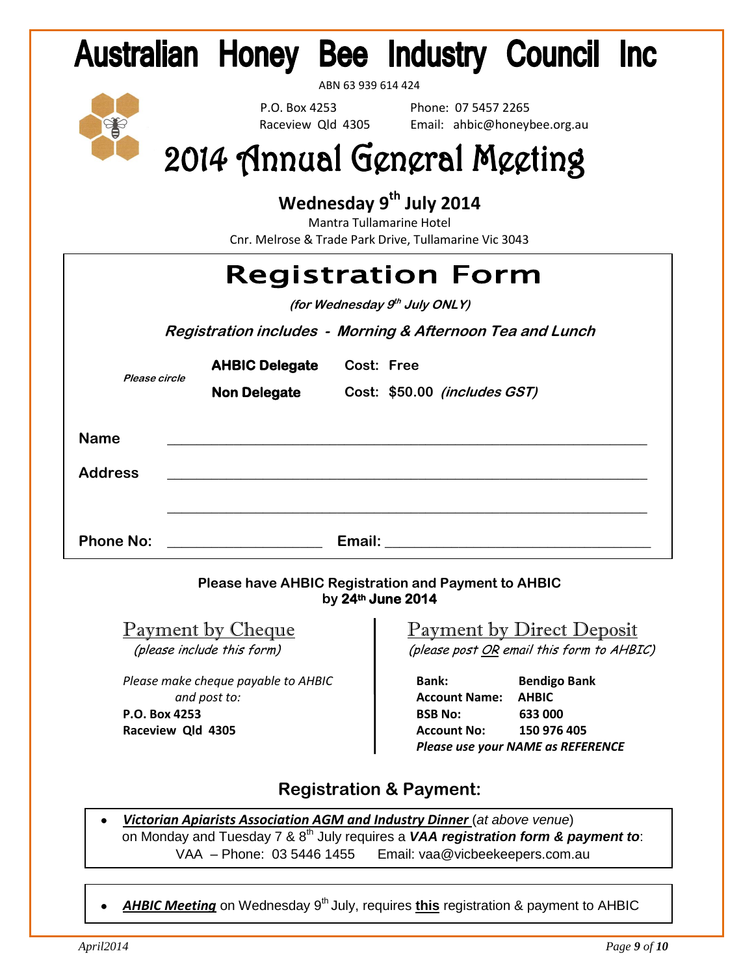# **Australian Honey Bee Industry Council Inc.**

ABN 63 939 614 424

P.O. Box 4253 Phone: 07 5457 2265<br>
Raceview Old 4305 Email: ahbic@honev Email: ahbic@honeybee.org.au

# 2014 Annual General Meeting

### **Wednesday 9th July 2014**

Mantra Tullamarine Hotel Cnr. Melrose & Trade Park Drive, Tullamarine Vic 3043

|                        |                                              | <b>Registration Form</b><br>(for Wednesday 9th July ONLY) |  |
|------------------------|----------------------------------------------|-----------------------------------------------------------|--|
|                        |                                              | Registration includes - Morning & Afternoon Tea and Lunch |  |
| Please circle          | <b>AHBIC Delegate</b><br><b>Non Delegate</b> | Cost: Free<br>Cost: \$50.00 (includes GST)                |  |
| Name<br><b>Address</b> |                                              |                                                           |  |

**Phone No: Email: Email: Email: Email: Email: Email: Email: Email: Email: Email: Email: Email: Email: Email: Email: Email: Email: Email: Email: Email: Email: Email: Email: Em** 

#### **Please have AHBIC Registration and Payment to AHBIC by 24th June 2014**

*Please make cheque payable to AHBIC* **Bank: Bendigo Bank** and post to: **Account Name: AHBIC** 

#### Payment by ChequePayment by Direct Deposit (please include this form)(please post OR email this form to AHBIC)

**P.O. Box 4253 a BSB No:** 633 000 **Raceview Qld 4305** *Account No:* **150 976 405**  *Please use your NAME as REFERENCE*

#### **Registration & Payment:**

- *Victorian Apiarists Association AGM and Industry Dinner* (*at above venue*) on Monday and Tuesday 7 & 8th July requires a *VAA registration form & payment to*: VAA – Phone: 03 5446 1455 Email: [vaa@vicbeekeepers.com.au](mailto:vaa@vicbeekeepers.com.au)
- AHBIC Meeting on Wednesday 9<sup>th</sup> July, requires this registration & payment to AHBIC